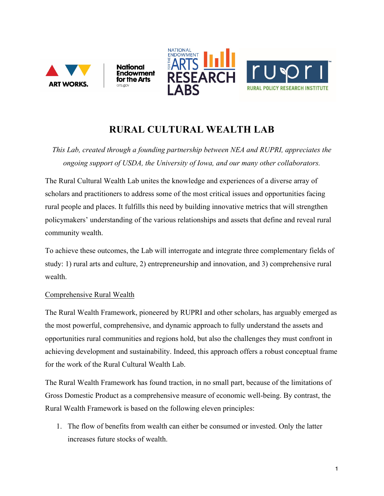

## **RURAL CULTURAL WEALTH LAB**

*This Lab, created through a founding partnership between NEA and RUPRI, appreciates the ongoing support of USDA, the University of Iowa, and our many other collaborators.*

The Rural Cultural Wealth Lab unites the knowledge and experiences of a diverse array of scholars and practitioners to address some of the most critical issues and opportunities facing rural people and places. It fulfills this need by building innovative metrics that will strengthen policymakers' understanding of the various relationships and assets that define and reveal rural community wealth.

To achieve these outcomes, the Lab will interrogate and integrate three complementary fields of study: 1) rural arts and culture, 2) entrepreneurship and innovation, and 3) comprehensive rural wealth.

## Comprehensive Rural Wealth

The Rural Wealth Framework, pioneered by RUPRI and other scholars, has arguably emerged as the most powerful, comprehensive, and dynamic approach to fully understand the assets and opportunities rural communities and regions hold, but also the challenges they must confront in achieving development and sustainability. Indeed, this approach offers a robust conceptual frame for the work of the Rural Cultural Wealth Lab.

The Rural Wealth Framework has found traction, in no small part, because of the limitations of Gross Domestic Product as a comprehensive measure of economic well-being. By contrast, the Rural Wealth Framework is based on the following eleven principles:

1. The flow of benefits from wealth can either be consumed or invested. Only the latter increases future stocks of wealth.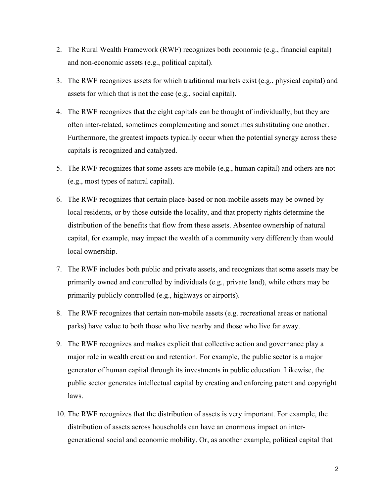- 2. The Rural Wealth Framework (RWF) recognizes both economic (e.g., financial capital) and non-economic assets (e.g., political capital).
- 3. The RWF recognizes assets for which traditional markets exist (e.g., physical capital) and assets for which that is not the case (e.g., social capital).
- 4. The RWF recognizes that the eight capitals can be thought of individually, but they are often inter-related, sometimes complementing and sometimes substituting one another. Furthermore, the greatest impacts typically occur when the potential synergy across these capitals is recognized and catalyzed.
- 5. The RWF recognizes that some assets are mobile (e.g., human capital) and others are not (e.g., most types of natural capital).
- 6. The RWF recognizes that certain place-based or non-mobile assets may be owned by local residents, or by those outside the locality, and that property rights determine the distribution of the benefits that flow from these assets. Absentee ownership of natural capital, for example, may impact the wealth of a community very differently than would local ownership.
- 7. The RWF includes both public and private assets, and recognizes that some assets may be primarily owned and controlled by individuals (e.g., private land), while others may be primarily publicly controlled (e.g., highways or airports).
- 8. The RWF recognizes that certain non-mobile assets (e.g. recreational areas or national parks) have value to both those who live nearby and those who live far away.
- 9. The RWF recognizes and makes explicit that collective action and governance play a major role in wealth creation and retention. For example, the public sector is a major generator of human capital through its investments in public education. Likewise, the public sector generates intellectual capital by creating and enforcing patent and copyright laws.
- 10. The RWF recognizes that the distribution of assets is very important. For example, the distribution of assets across households can have an enormous impact on intergenerational social and economic mobility. Or, as another example, political capital that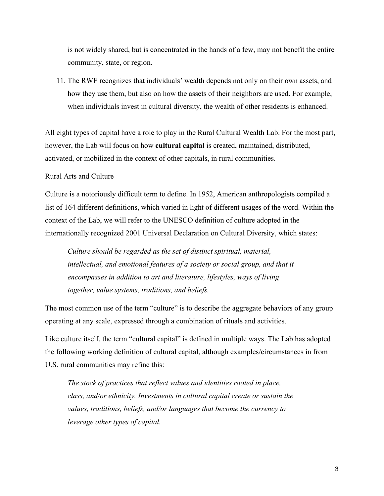is not widely shared, but is concentrated in the hands of a few, may not benefit the entire community, state, or region.

11. The RWF recognizes that individuals' wealth depends not only on their own assets, and how they use them, but also on how the assets of their neighbors are used. For example, when individuals invest in cultural diversity, the wealth of other residents is enhanced.

All eight types of capital have a role to play in the Rural Cultural Wealth Lab. For the most part, however, the Lab will focus on how **cultural capital** is created, maintained, distributed, activated, or mobilized in the context of other capitals, in rural communities.

## Rural Arts and Culture

Culture is a notoriously difficult term to define. In 1952, American anthropologists compiled a list of 164 different definitions, which varied in light of different usages of the word. Within the context of the Lab, we will refer to the UNESCO definition of culture adopted in the internationally recognized 2001 Universal Declaration on Cultural Diversity, which states:

*Culture should be regarded as the set of distinct spiritual, material, intellectual, and emotional features of a society or social group, and that it encompasses in addition to art and literature, lifestyles, ways of living together, value systems, traditions, and beliefs.*

The most common use of the term "culture" is to describe the aggregate behaviors of any group operating at any scale, expressed through a combination of rituals and activities.

Like culture itself, the term "cultural capital" is defined in multiple ways. The Lab has adopted the following working definition of cultural capital, although examples/circumstances in from U.S. rural communities may refine this:

*The stock of practices that reflect values and identities rooted in place, class, and/or ethnicity. Investments in cultural capital create or sustain the values, traditions, beliefs, and/or languages that become the currency to leverage other types of capital.*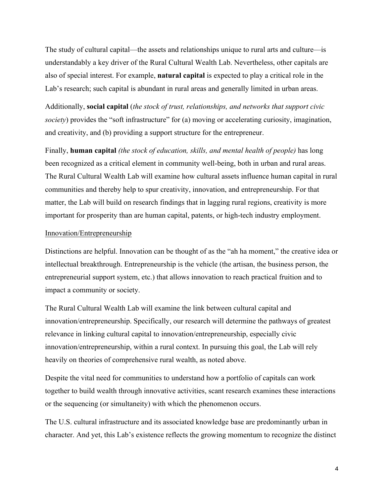The study of cultural capital—the assets and relationships unique to rural arts and culture—is understandably a key driver of the Rural Cultural Wealth Lab. Nevertheless, other capitals are also of special interest. For example, **natural capital** is expected to play a critical role in the Lab's research; such capital is abundant in rural areas and generally limited in urban areas.

Additionally, **social capital** (*the stock of trust, relationships, and networks that support civic society*) provides the "soft infrastructure" for (a) moving or accelerating curiosity, imagination, and creativity, and (b) providing a support structure for the entrepreneur.

Finally, **human capital** *(the stock of education, skills, and mental health of people)* has long been recognized as a critical element in community well-being, both in urban and rural areas. The Rural Cultural Wealth Lab will examine how cultural assets influence human capital in rural communities and thereby help to spur creativity, innovation, and entrepreneurship. For that matter, the Lab will build on research findings that in lagging rural regions, creativity is more important for prosperity than are human capital, patents, or high-tech industry employment.

## Innovation/Entrepreneurship

Distinctions are helpful. Innovation can be thought of as the "ah ha moment," the creative idea or intellectual breakthrough. Entrepreneurship is the vehicle (the artisan, the business person, the entrepreneurial support system, etc.) that allows innovation to reach practical fruition and to impact a community or society.

The Rural Cultural Wealth Lab will examine the link between cultural capital and innovation/entrepreneurship. Specifically, our research will determine the pathways of greatest relevance in linking cultural capital to innovation/entrepreneurship, especially civic innovation/entrepreneurship, within a rural context. In pursuing this goal, the Lab will rely heavily on theories of comprehensive rural wealth, as noted above.

Despite the vital need for communities to understand how a portfolio of capitals can work together to build wealth through innovative activities, scant research examines these interactions or the sequencing (or simultaneity) with which the phenomenon occurs.

The U.S. cultural infrastructure and its associated knowledge base are predominantly urban in character. And yet, this Lab's existence reflects the growing momentum to recognize the distinct